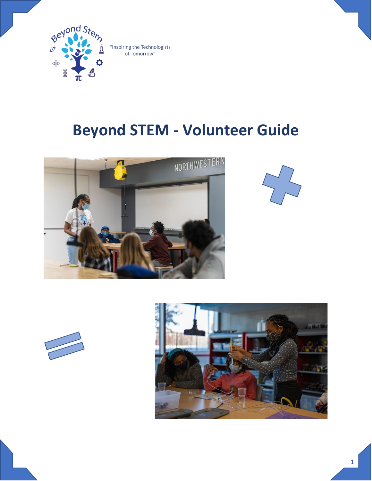

# **Beyond STEM - Volunteer Guide**







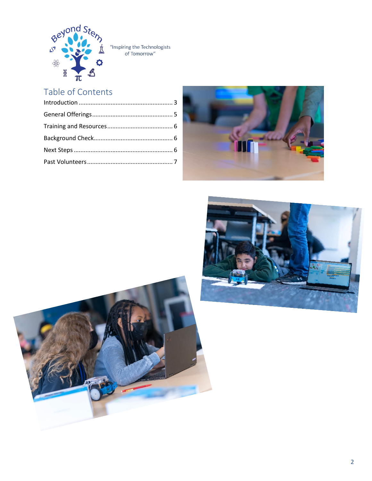

## Table of Contents





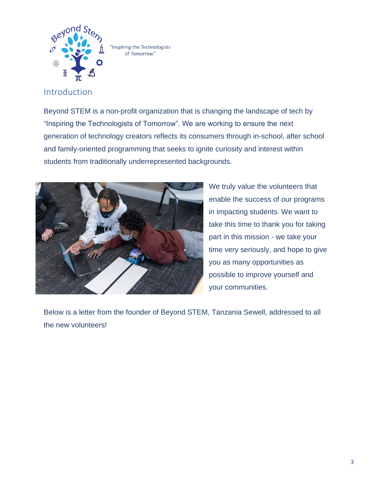

## <span id="page-2-0"></span>Introduction

Beyond STEM is a non-profit organization that is changing the landscape of tech by "Inspiring the Technologists of Tomorrow". We are working to ensure the next generation of technology creators reflects its consumers through in-school, after school and family-oriented programming that seeks to ignite curiosity and interest within students from traditionally underrepresented backgrounds.



We truly value the volunteers that enable the success of our programs in impacting students. We want to take this time to thank you for taking part in this mission - we take your time very seriously, and hope to give you as many opportunities as possible to improve yourself and your communities.

Below is a letter from the founder of Beyond STEM, Tanzania Sewell, addressed to all the new volunteers!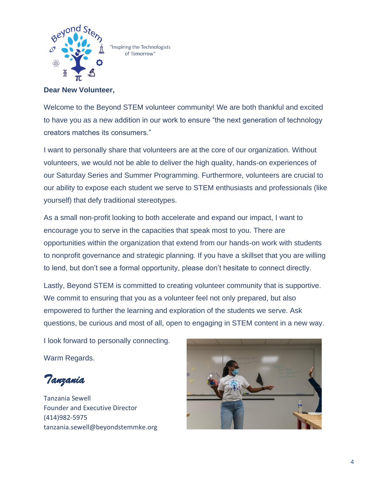

**Dear New Volunteer,**

Welcome to the Beyond STEM volunteer community! We are both thankful and excited to have you as a new addition in our work to ensure "the next generation of technology creators matches its consumers."

I want to personally share that volunteers are at the core of our organization. Without volunteers, we would not be able to deliver the high quality, hands-on experiences of our Saturday Series and Summer Programming. Furthermore, volunteers are crucial to our ability to expose each student we serve to STEM enthusiasts and professionals (like yourself) that defy traditional stereotypes.

As a small non-profit looking to both accelerate and expand our impact, I want to encourage you to serve in the capacities that speak most to you. There are opportunities within the organization that extend from our hands-on work with students to nonprofit governance and strategic planning. If you have a skillset that you are willing to lend, but don't see a formal opportunity, please don't hesitate to connect directly.

Lastly, Beyond STEM is committed to creating volunteer community that is supportive. We commit to ensuring that you as a volunteer feel not only prepared, but also empowered to further the learning and exploration of the students we serve. Ask questions, be curious and most of all, open to engaging in STEM content in a new way.

I look forward to personally connecting.

Warm Regards.

*Tanzania* 

Tanzania Sewell Founder and Executive Director (414)982-5975 tanzania.sewell@beyondstemmke.org

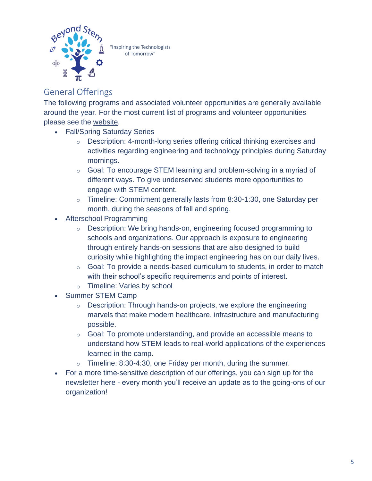

## <span id="page-4-0"></span>General Offerings

The following programs and associated volunteer opportunities are generally available around the year. For the most current list of programs and volunteer opportunities please see the [website.](https://www.beyondstemmke.org/)

- Fall/Spring Saturday Series
	- o Description: 4-month-long series offering critical thinking exercises and activities regarding engineering and technology principles during Saturday mornings.
	- o Goal: To encourage STEM learning and problem-solving in a myriad of different ways. To give underserved students more opportunities to engage with STEM content.
	- o Timeline: Commitment generally lasts from 8:30-1:30, one Saturday per month, during the seasons of fall and spring.
- Afterschool Programming
	- o Description: We bring hands-on, engineering focused programming to schools and organizations. Our approach is exposure to engineering through entirely hands-on sessions that are also designed to build curiosity while highlighting the impact engineering has on our daily lives.
	- $\circ$  Goal: To provide a needs-based curriculum to students, in order to match with their school's specific requirements and points of interest.
	- o Timeline: Varies by school
- Summer STEM Camp
	- $\circ$  Description: Through hands-on projects, we explore the engineering marvels that make modern healthcare, infrastructure and manufacturing possible.
	- $\circ$  Goal: To promote understanding, and provide an accessible means to understand how STEM leads to real-world applications of the experiences learned in the camp.
	- $\circ$  Timeline: 8:30-4:30, one Friday per month, during the summer.
- For a more time-sensitive description of our offerings, you can sign up for the newsletter [here](https://beyondstemmke.us4.list-manage.com/subscribe?u=11bd894a6dad71984d5adb14e&id=da10ca4832) - every month you'll receive an update as to the going-ons of our organization!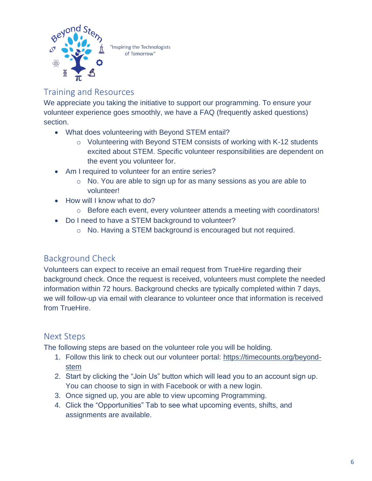

<span id="page-5-0"></span>Training and Resources

We appreciate you taking the initiative to support our programming. To ensure your volunteer experience goes smoothly, we have a FAQ (frequently asked questions) section.

- What does volunteering with Beyond STEM entail?
	- o Volunteering with Beyond STEM consists of working with K-12 students excited about STEM. Specific volunteer responsibilities are dependent on the event you volunteer for.
- Am I required to volunteer for an entire series?
	- o No. You are able to sign up for as many sessions as you are able to volunteer!
- How will I know what to do?
	- o Before each event, every volunteer attends a meeting with coordinators!
- Do I need to have a STEM background to volunteer?
	- o No. Having a STEM background is encouraged but not required.

## <span id="page-5-1"></span>Background Check

Volunteers can expect to receive an email request from TrueHire regarding their background check. Once the request is received, volunteers must complete the needed information within 72 hours. Background checks are typically completed within 7 days, we will follow-up via email with clearance to volunteer once that information is received from TrueHire.

## <span id="page-5-2"></span>Next Steps

The following steps are based on the volunteer role you will be holding.

- 1. Follow this link to check out our volunteer portal: [https://timecounts.org/beyond](https://timecounts.org/beyond-stem)[stem](https://timecounts.org/beyond-stem)
- 2. Start by clicking the "Join Us" button which will lead you to an account sign up. You can choose to sign in with Facebook or with a new login.
- 3. Once signed up, you are able to view upcoming Programming.
- 4. Click the "Opportunities" Tab to see what upcoming events, shifts, and assignments are available.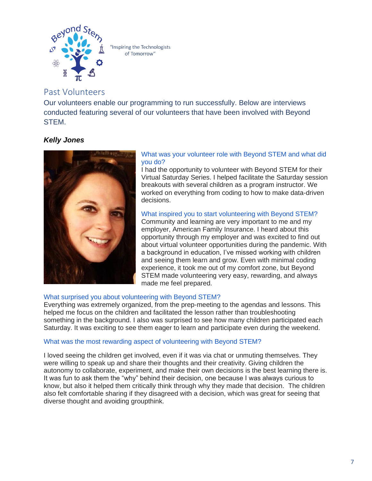

## <span id="page-6-0"></span>Past Volunteers

Our volunteers enable our programming to run successfully. Below are interviews conducted featuring several of our volunteers that have been involved with Beyond STEM.

### *Kelly Jones*



#### What was your volunteer role with Beyond STEM and what did you do?

I had the opportunity to volunteer with Beyond STEM for their Virtual Saturday Series. I helped facilitate the Saturday session breakouts with several children as a program instructor. We worked on everything from coding to how to make data-driven decisions.

What inspired you to start volunteering with Beyond STEM? Community and learning are very important to me and my employer, American Family Insurance. I heard about this opportunity through my employer and was excited to find out about virtual volunteer opportunities during the pandemic. With a background in education, I've missed working with children and seeing them learn and grow. Even with minimal coding experience, it took me out of my comfort zone, but Beyond STEM made volunteering very easy, rewarding, and always made me feel prepared.

#### What surprised you about volunteering with Beyond STEM?

Everything was extremely organized, from the prep-meeting to the agendas and lessons. This helped me focus on the children and facilitated the lesson rather than troubleshooting something in the background. I also was surprised to see how many children participated each Saturday. It was exciting to see them eager to learn and participate even during the weekend.

#### What was the most rewarding aspect of volunteering with Beyond STEM?

I loved seeing the children get involved, even if it was via chat or unmuting themselves. They were willing to speak up and share their thoughts and their creativity. Giving children the autonomy to collaborate, experiment, and make their own decisions is the best learning there is. It was fun to ask them the "why" behind their decision, one because I was always curious to know, but also it helped them critically think through why they made that decision. The children also felt comfortable sharing if they disagreed with a decision, which was great for seeing that diverse thought and avoiding groupthink.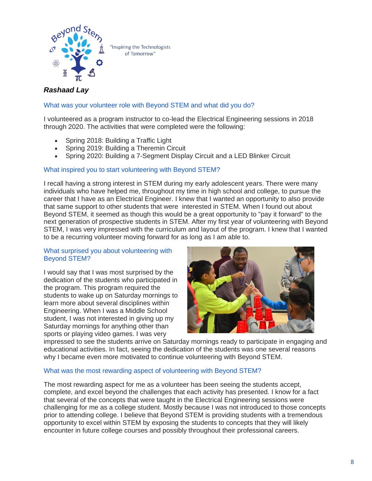

#### *Rashaad Lay*

#### What was your volunteer role with Beyond STEM and what did you do?

I volunteered as a program instructor to co-lead the Electrical Engineering sessions in 2018 through 2020. The activities that were completed were the following:

- Spring 2018: Building a Traffic Light
- Spring 2019: Building a Theremin Circuit
- Spring 2020: Building a 7-Segment Display Circuit and a LED Blinker Circuit

#### What inspired you to start volunteering with Beyond STEM?

I recall having a strong interest in STEM during my early adolescent years. There were many individuals who have helped me, throughout my time in high school and college, to pursue the career that I have as an Electrical Engineer. I knew that I wanted an opportunity to also provide that same support to other students that were interested in STEM. When I found out about Beyond STEM, it seemed as though this would be a great opportunity to "pay it forward" to the next generation of prospective students in STEM. After my first year of volunteering with Beyond STEM, I was very impressed with the curriculum and layout of the program. I knew that I wanted to be a recurring volunteer moving forward for as long as I am able to.

#### What surprised you about volunteering with Beyond STEM?

I would say that I was most surprised by the dedication of the students who participated in the program. This program required the students to wake up on Saturday mornings to learn more about several disciplines within Engineering. When I was a Middle School student, I was not interested in giving up my Saturday mornings for anything other than sports or playing video games. I was very



impressed to see the students arrive on Saturday mornings ready to participate in engaging and educational activities. In fact, seeing the dedication of the students was one several reasons why I became even more motivated to continue volunteering with Beyond STEM.

#### What was the most rewarding aspect of volunteering with Beyond STEM?

The most rewarding aspect for me as a volunteer has been seeing the students accept, complete, and excel beyond the challenges that each activity has presented. I know for a fact that several of the concepts that were taught in the Electrical Engineering sessions were challenging for me as a college student. Mostly because I was not introduced to those concepts prior to attending college. I believe that Beyond STEM is providing students with a tremendous opportunity to excel within STEM by exposing the students to concepts that they will likely encounter in future college courses and possibly throughout their professional careers.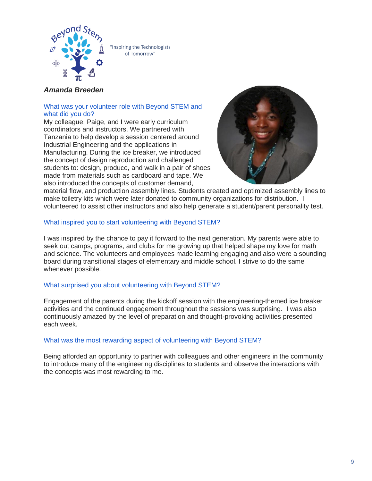

#### *Amanda Breeden*

#### What was your volunteer role with Beyond STEM and what did you do?

My colleague, Paige, and I were early curriculum coordinators and instructors. We partnered with Tanzania to help develop a session centered around Industrial Engineering and the applications in Manufacturing. During the ice breaker, we introduced the concept of design reproduction and challenged students to: design, produce, and walk in a pair of shoes made from materials such as cardboard and tape. We also introduced the concepts of customer demand,



material flow, and production assembly lines. Students created and optimized assembly lines to make toiletry kits which were later donated to community organizations for distribution. I volunteered to assist other instructors and also help generate a student/parent personality test.

#### What inspired you to start volunteering with Beyond STEM?

I was inspired by the chance to pay it forward to the next generation. My parents were able to seek out camps, programs, and clubs for me growing up that helped shape my love for math and science. The volunteers and employees made learning engaging and also were a sounding board during transitional stages of elementary and middle school. I strive to do the same whenever possible.

#### What surprised you about volunteering with Beyond STEM?

Engagement of the parents during the kickoff session with the engineering-themed ice breaker activities and the continued engagement throughout the sessions was surprising. I was also continuously amazed by the level of preparation and thought-provoking activities presented each week.

#### What was the most rewarding aspect of volunteering with Beyond STEM?

Being afforded an opportunity to partner with colleagues and other engineers in the community to introduce many of the engineering disciplines to students and observe the interactions with the concepts was most rewarding to me.